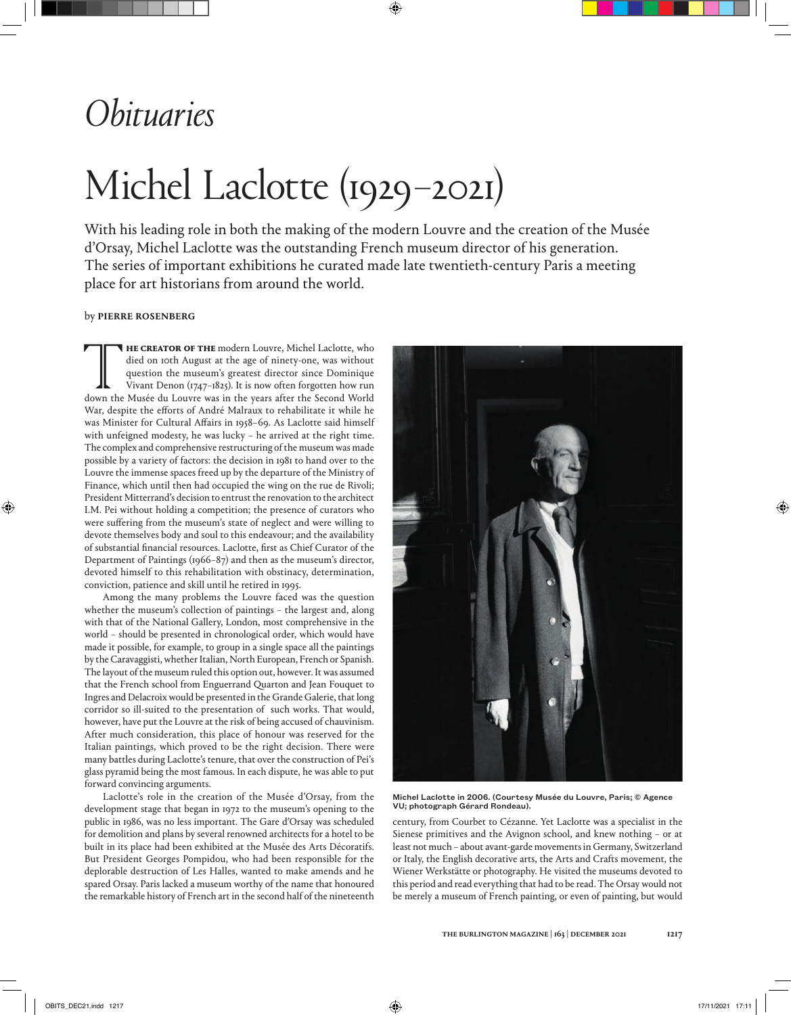## *Obituaries*

# Michel Laclotte (1929–2021)

With his leading role in both the making of the modern Louvre and the creation of the Musée d'Orsay, Michel Laclotte was the outstanding French museum director of his generation. The series of important exhibitions he curated made late twentieth-century Paris a meeting place for art historians from around the world.

### by pierre rosenberg

**THE CREATOR OF THE** modern Louvre, Michel Laclotte, who died on toth August at the age of ninety-one, was without question the museum's greatest director since Dominique Vivant Denon (1747-1825). It is now often forgotten died on 10th August at the age of ninety-one, was without question the museum's greatest director since Dominique Vivant Denon (1747–1825). It is now often forgotten how run down the Musée du Louvre was in the years after the Second World War, despite the efforts of André Malraux to rehabilitate it while he was Minister for Cultural Affairs in 1958–69. As Laclotte said himself with unfeigned modesty, he was lucky – he arrived at the right time. The complex and comprehensive restructuring of the museum was made possible by a variety of factors: the decision in 1981 to hand over to the Louvre the immense spaces freed up by the departure of the Ministry of Finance, which until then had occupied the wing on the rue de Rivoli; President Mitterrand's decision to entrust the renovation to the architect I.M. Pei without holding a competition; the presence of curators who were suffering from the museum's state of neglect and were willing to devote themselves body and soul to this endeavour; and the availability of substantial financial resources. Laclotte, first as Chief Curator of the Department of Paintings (1966–87) and then as the museum's director, devoted himself to this rehabilitation with obstinacy, determination, conviction, patience and skill until he retired in 1995.

Among the many problems the Louvre faced was the question whether the museum's collection of paintings – the largest and, along with that of the National Gallery, London, most comprehensive in the world – should be presented in chronological order, which would have made it possible, for example, to group in a single space all the paintings by the Caravaggisti, whether Italian, North European, French or Spanish. The layout of the museum ruled this option out, however. It was assumed that the French school from Enguerrand Quarton and Jean Fouquet to Ingres and Delacroix would be presented in the Grande Galerie, that long corridor so ill-suited to the presentation of such works. That would, however, have put the Louvre at the risk of being accused of chauvinism. After much consideration, this place of honour was reserved for the Italian paintings, which proved to be the right decision. There were many battles during Laclotte's tenure, that over the construction of Pei's glass pyramid being the most famous. In each dispute, he was able to put forward convincing arguments.

Laclotte's role in the creation of the Musée d'Orsay, from the development stage that began in 1972 to the museum's opening to the public in 1986, was no less important. The Gare d'Orsay was scheduled for demolition and plans by several renowned architects for a hotel to be built in its place had been exhibited at the Musée des Arts Décoratifs. But President Georges Pompidou, who had been responsible for the deplorable destruction of Les Halles, wanted to make amends and he spared Orsay. Paris lacked a museum worthy of the name that honoured the remarkable history of French art in the second half of the nineteenth



Michel Laclotte in 2006. (Courtesy Musée du Louvre, Paris; © Agence VU; photograph Gérard Rondeau).

century, from Courbet to Cézanne. Yet Laclotte was a specialist in the Sienese primitives and the Avignon school, and knew nothing – or at least not much – about avant-garde movements in Germany, Switzerland or Italy, the English decorative arts, the Arts and Crafts movement, the Wiener Werkstätte or photography. He visited the museums devoted to this period and read everything that had to be read. The Orsay would not be merely a museum of French painting, or even of painting, but would